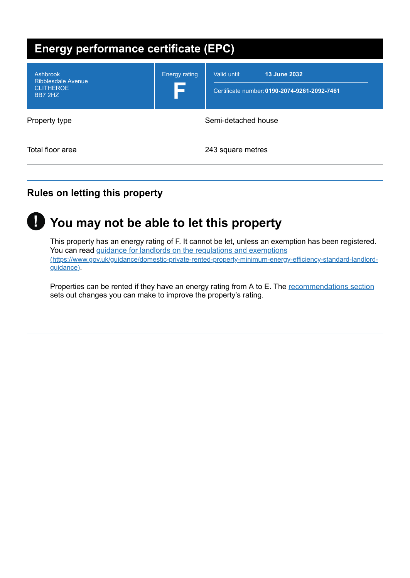| <b>Energy performance certificate (EPC)</b>                          |                      |                                                                              |  |
|----------------------------------------------------------------------|----------------------|------------------------------------------------------------------------------|--|
| Ashbrook<br><b>Ribblesdale Avenue</b><br><b>CLITHEROE</b><br>BB7 2HZ | <b>Energy rating</b> | 13 June 2032<br>Valid until:<br>Certificate number: 0190-2074-9261-2092-7461 |  |
| Property type                                                        | Semi-detached house  |                                                                              |  |
| Total floor area                                                     |                      | 243 square metres                                                            |  |

# **Rules on letting this property**



# **You may not be able to let this property !**

This property has an energy rating of F. It cannot be let, unless an exemption has been registered. You can read guidance for landlords on the regulations and exemptions [\(https://www.gov.uk/guidance/domestic-private-rented-property-minimum-energy-efficiency-standard-landlord](https://www.gov.uk/guidance/domestic-private-rented-property-minimum-energy-efficiency-standard-landlord-guidance)guidance).

Properties can be rented if they have an energy rating from A to E. The [recommendations](#page-3-0) section sets out changes you can make to improve the property's rating.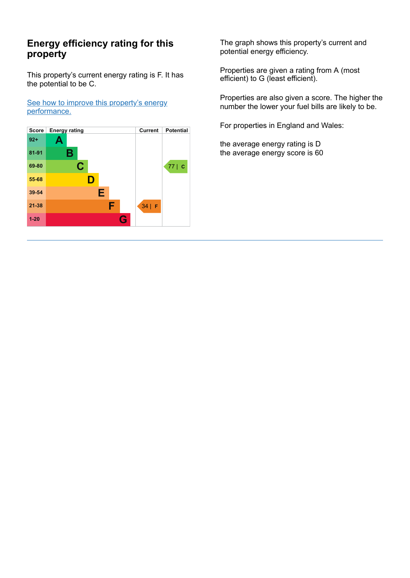## **Energy efficiency rating for this property**

This property's current energy rating is F. It has the potential to be C.

See how to improve this property's energy [performance.](#page-3-0)



The graph shows this property's current and potential energy efficiency.

Properties are given a rating from A (most efficient) to G (least efficient).

Properties are also given a score. The higher the number the lower your fuel bills are likely to be.

For properties in England and Wales:

the average energy rating is D the average energy score is 60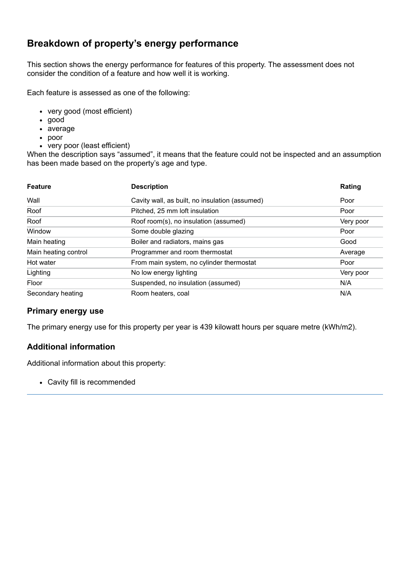## **Breakdown of property's energy performance**

This section shows the energy performance for features of this property. The assessment does not consider the condition of a feature and how well it is working.

Each feature is assessed as one of the following:

- very good (most efficient)
- good
- average
- poor
- very poor (least efficient)

When the description says "assumed", it means that the feature could not be inspected and an assumption has been made based on the property's age and type.

| <b>Feature</b>       | <b>Description</b>                             | Rating    |
|----------------------|------------------------------------------------|-----------|
| Wall                 | Cavity wall, as built, no insulation (assumed) | Poor      |
| Roof                 | Pitched, 25 mm loft insulation                 | Poor      |
| Roof                 | Roof room(s), no insulation (assumed)          | Very poor |
| Window               | Some double glazing                            | Poor      |
| Main heating         | Boiler and radiators, mains gas                | Good      |
| Main heating control | Programmer and room thermostat                 | Average   |
| Hot water            | From main system, no cylinder thermostat       | Poor      |
| Lighting             | No low energy lighting                         | Very poor |
| Floor                | Suspended, no insulation (assumed)             | N/A       |
| Secondary heating    | Room heaters, coal                             | N/A       |

#### **Primary energy use**

The primary energy use for this property per year is 439 kilowatt hours per square metre (kWh/m2).

### **Additional information**

Additional information about this property:

Cavity fill is recommended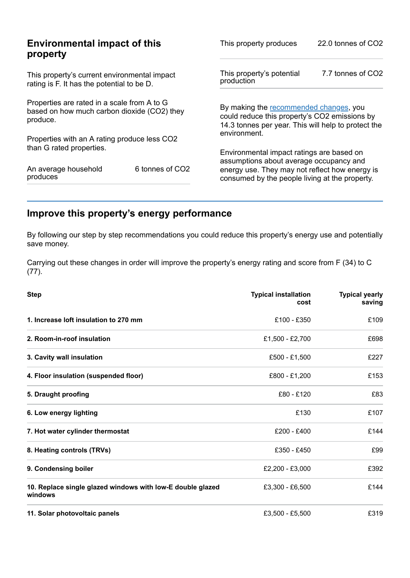| <b>Environmental impact of this</b>                                                        |                                              | 22.0 tonnes of CO2                                  |  |
|--------------------------------------------------------------------------------------------|----------------------------------------------|-----------------------------------------------------|--|
| property                                                                                   |                                              | This property produces                              |  |
| This property's current environmental impact<br>rating is F. It has the potential to be D. |                                              | 7.7 tonnes of CO2                                   |  |
| Properties are rated in a scale from A to G                                                |                                              | By making the recommended changes, you              |  |
| based on how much carbon dioxide (CO2) they                                                |                                              | could reduce this property's CO2 emissions by       |  |
| produce.                                                                                   |                                              | 14.3 tonnes per year. This will help to protect the |  |
|                                                                                            | environment.                                 |                                                     |  |
| than G rated properties.                                                                   |                                              | Environmental impact ratings are based on           |  |
| 6 tonnes of CO2                                                                            |                                              | assumptions about average occupancy and             |  |
| An average household                                                                       |                                              | energy use. They may not reflect how energy is      |  |
| produces                                                                                   |                                              | consumed by the people living at the property.      |  |
|                                                                                            | Properties with an A rating produce less CO2 | This property's potential<br>production             |  |

# <span id="page-3-0"></span>**Improve this property's energy performance**

By following our step by step recommendations you could reduce this property's energy use and potentially save money.

Carrying out these changes in order will improve the property's energy rating and score from F (34) to C (77).

| <b>Step</b>                                                           | <b>Typical installation</b><br>cost | <b>Typical yearly</b><br>saving |
|-----------------------------------------------------------------------|-------------------------------------|---------------------------------|
| 1. Increase loft insulation to 270 mm                                 | £100 - £350                         | £109                            |
| 2. Room-in-roof insulation                                            | £1,500 - £2,700                     | £698                            |
| 3. Cavity wall insulation                                             | £500 - £1,500                       | £227                            |
| 4. Floor insulation (suspended floor)                                 | £800 - £1,200                       | £153                            |
| 5. Draught proofing                                                   | £80 - £120                          | £83                             |
| 6. Low energy lighting                                                | £130                                | £107                            |
| 7. Hot water cylinder thermostat                                      | £200 - £400                         | £144                            |
| 8. Heating controls (TRVs)                                            | £350 - £450                         | £99                             |
| 9. Condensing boiler                                                  | £2,200 - £3,000                     | £392                            |
| 10. Replace single glazed windows with low-E double glazed<br>windows | £3,300 - £6,500                     | £144                            |
| 11. Solar photovoltaic panels                                         | £3,500 - £5,500                     | £319                            |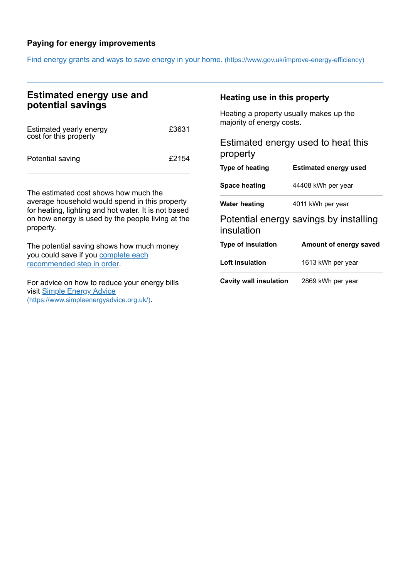### **Paying for energy improvements**

Find energy grants and ways to save energy in your home. [\(https://www.gov.uk/improve-energy-efficiency\)](https://www.gov.uk/improve-energy-efficiency)

## **Estimated energy use and potential savings**

| Estimated yearly energy<br>cost for this property | £3631 |
|---------------------------------------------------|-------|
| Potential saving                                  | £2154 |

The estimated cost shows how much the average household would spend in this property for heating, lighting and hot water. It is not based on how energy is used by the people living at the property.

The potential saving shows how much money you could save if you complete each [recommended](#page-3-0) step in order.

For advice on how to reduce your energy bills visit Simple Energy Advice [\(https://www.simpleenergyadvice.org.uk/\)](https://www.simpleenergyadvice.org.uk/).

#### **Heating use in this property**

Heating a property usually makes up the majority of energy costs.

| Estimated energy used to heat this<br>property |                                        |  |
|------------------------------------------------|----------------------------------------|--|
| <b>Type of heating</b>                         | <b>Estimated energy used</b>           |  |
| <b>Space heating</b>                           | 44408 kWh per year                     |  |
| <b>Water heating</b>                           | 4011 kWh per year                      |  |
| insulation                                     | Potential energy savings by installing |  |
| <b>Type of insulation</b>                      | Amount of energy saved                 |  |
| Loft insulation                                | 1613 kWh per year                      |  |
| Cavity wall insulation                         | 2869 kWh per year                      |  |